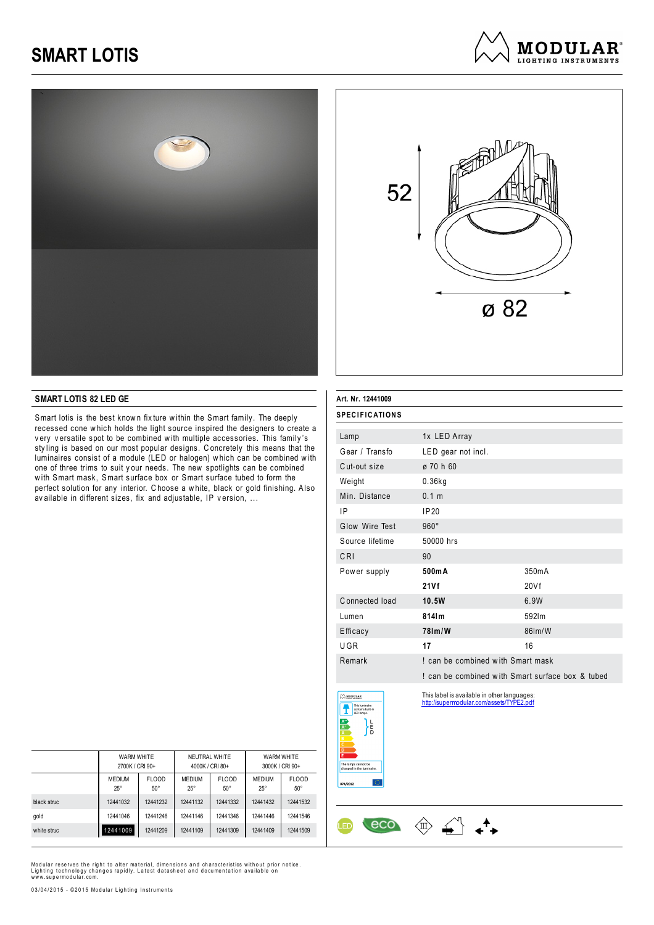



**MODULAR**<sup>®</sup> LIGHTING INSTRUMENTS

#### **SMART LOTIS 82 LED GE**

Smart lotis is the best known fix ture within the Smart family. The deeply recessed cone w hich holds the light source inspired the designers to create a very versatile spot to be combined with multiple accessories. This family's sty ling is based on our most popular designs. C oncretely this means that the luminaires consist of a module (LED or halogen) w hich can be combined w ith one of three trims to suit y our needs. The new spotlights can be combined with Smart mask, Smart surface box or Smart surface tubed to form the perfect solution for any interior. C hoose a w hite, black or gold finishing. Also av ailable in different sizes, fix and adjustable, IP v ersion, ...

| Art. Nr. 12441009                                                                                       |                                                                                         |        |
|---------------------------------------------------------------------------------------------------------|-----------------------------------------------------------------------------------------|--------|
| SPECIFICATIONS                                                                                          |                                                                                         |        |
| Lamp                                                                                                    | 1x LED Array                                                                            |        |
| Gear / Transfo                                                                                          | LED gear not incl.                                                                      |        |
| Cut-out size                                                                                            | ø 70 h 60                                                                               |        |
| Weight                                                                                                  | $0.36$ kg                                                                               |        |
| Min. Distance                                                                                           | 0.1 m                                                                                   |        |
| IP                                                                                                      | IP20                                                                                    |        |
| Glow Wire Test                                                                                          | $960^\circ$                                                                             |        |
| Source lifetime                                                                                         | 50000 hrs                                                                               |        |
| CRI                                                                                                     | 90                                                                                      |        |
| Power supply                                                                                            | 500mA                                                                                   | 350mA  |
|                                                                                                         | 21Vf                                                                                    | 20Vf   |
| Connected load                                                                                          | 10.5W                                                                                   | 6.9W   |
| Lumen                                                                                                   | 814lm                                                                                   | 592lm  |
| Efficacy                                                                                                | 781m/W                                                                                  | 86lm/W |
| UGR                                                                                                     | 17                                                                                      | 16     |
| Remark                                                                                                  | I can be combined with Smart mask                                                       |        |
|                                                                                                         | I can be combined with Smart surface box & tubed                                        |        |
| A MODULAR<br>This luminaire<br>contains built-in<br>LED lamps.<br>$\frac{A^{**}}{A^{*}}$<br>니<br>리<br>D | This label is available in other languages:<br>http://supermodular.com/assets/TYPE2.pdf |        |

 $\circledast \xleftarrow{\wedge^{\!\!\!\!\!\!\!\!\!\!\!\!\!\!\!\!\ {}^{\scriptstyle \wedge}} \ \ \bullet^{\scriptstyle \blacktriangle\bullet} \ \ \bullet$ 

eco

|             | WARM WHITE<br>2700K / CRI 90+ |                            | NEUTRAL WHITE<br>4000K / CRI 80+ |                            | WARM WHITE<br>3000K / CRI 90+ |                            |
|-------------|-------------------------------|----------------------------|----------------------------------|----------------------------|-------------------------------|----------------------------|
|             | <b>MEDIUM</b><br>$25^{\circ}$ | <b>FLOOD</b><br>$50^\circ$ | <b>MEDIUM</b><br>$25^{\circ}$    | <b>FLOOD</b><br>$50^\circ$ | <b>MEDIUM</b><br>$25^{\circ}$ | <b>FLOOD</b><br>$50^\circ$ |
| black struc | 12441032                      | 12441232                   | 12441132                         | 12441332                   | 12441432                      | 12441532                   |
| gold        | 12441046                      | 12441246                   | 12441146                         | 12441346                   | 12441446                      | 12441546                   |
| white struc | 12441009                      | 12441209                   | 12441109                         | 12441309                   | 12441409                      | 12441509                   |

Modular reserves the right to alter material, dimensions and characteristics without prior notice. Lighting technology changes rapidly. Latest datasheet and documentation available on<br>www.supermodular.com.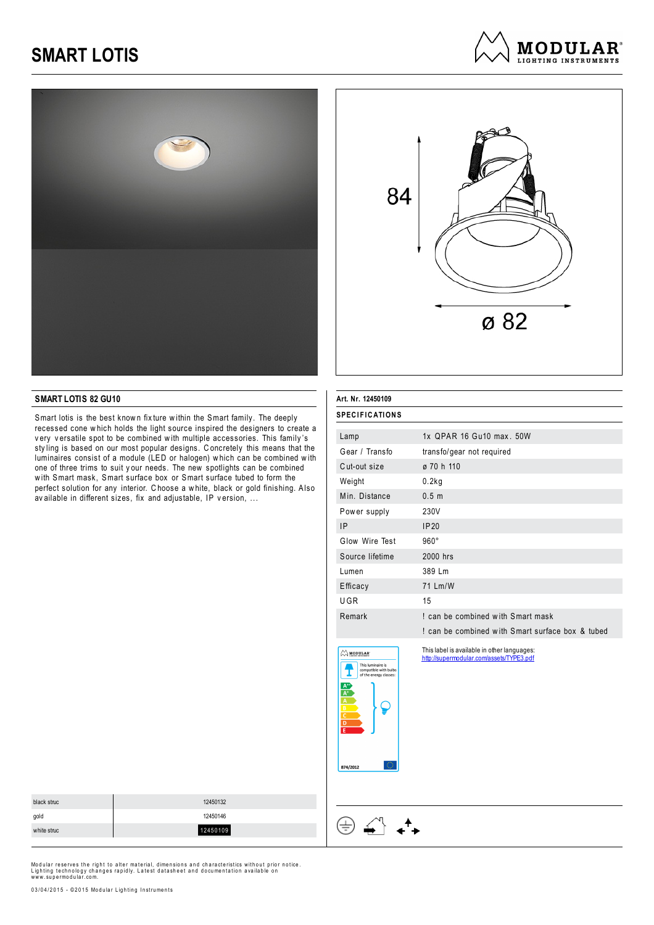



**MODULAR**<sup>®</sup> LIGHTING INSTRIIMENTS

#### **SMART LOTIS 82 GU10**

Smart lotis is the best known fix ture within the Smart family. The deeply recessed cone w hich holds the light source inspired the designers to create a v ery v ersatile spot to be combined w ith multiple accessories. This family 's sty ling is based on our most popular designs. C oncretely this means that the luminaires consist of a module (LED or halogen) w hich can be combined w ith one of three trims to suit y our needs. The new spotlights can be combined with Smart mask, Smart surface box or Smart surface tubed to form the perfect solution for any interior. C hoose a w hite, black or gold finishing. Also av ailable in different sizes, fix and adjustable, IP v ersion, ...

| <b>SPECIFICATIONS</b>               |                                                                                         |
|-------------------------------------|-----------------------------------------------------------------------------------------|
|                                     |                                                                                         |
| Lamp                                | 1x OPAR 16 Gu10 max, 50W                                                                |
| Gear / Transfo                      | transfo/gear not required                                                               |
| Cut-out size                        | ø 70 h 110                                                                              |
| Weight                              | 0.2kg                                                                                   |
| Min. Distance                       | 0.5 <sub>m</sub>                                                                        |
| Power supply                        | 230V                                                                                    |
| 1P                                  | IP20                                                                                    |
| Glow Wire Test                      | $960^\circ$                                                                             |
| Source lifetime                     | 2000 hrs                                                                                |
| Lumen                               | 389 Lm                                                                                  |
| Efficacy                            | 71 Lm/W                                                                                 |
| UGR                                 | 15                                                                                      |
| Remark                              | I can be combined with Smart mask                                                       |
|                                     | I can be combined with Smart surface box & tubed                                        |
| <b>MODULAR</b><br>This luminaire is | This label is available in other languages:<br>http://supermodular.com/assets/TYPE3.pdf |





 $\begin{picture}(120,15) \put(0,0){\vector(1,0){15}} \put(15,0){\vector(1,0){15}} \put(15,0){\vector(1,0){15}} \put(15,0){\vector(1,0){15}} \put(15,0){\vector(1,0){15}} \put(15,0){\vector(1,0){15}} \put(15,0){\vector(1,0){15}} \put(15,0){\vector(1,0){15}} \put(15,0){\vector(1,0){15}} \put(15,0){\vector(1,0){15}} \put(15,0){\vector(1,0){15}} \put(15,0){\vector($ 

 $\boldsymbol{t}$ 

⊕

| black struc | 12450132 |
|-------------|----------|
| gold        | 12450146 |
| white struc | 12450109 |
|             |          |

Modular reserves the right to alter material, dimensions and characteristics without prior notice. Lighting technology changes rapidly. Latest datasheet and documentation available on<br>www.supermodular.com.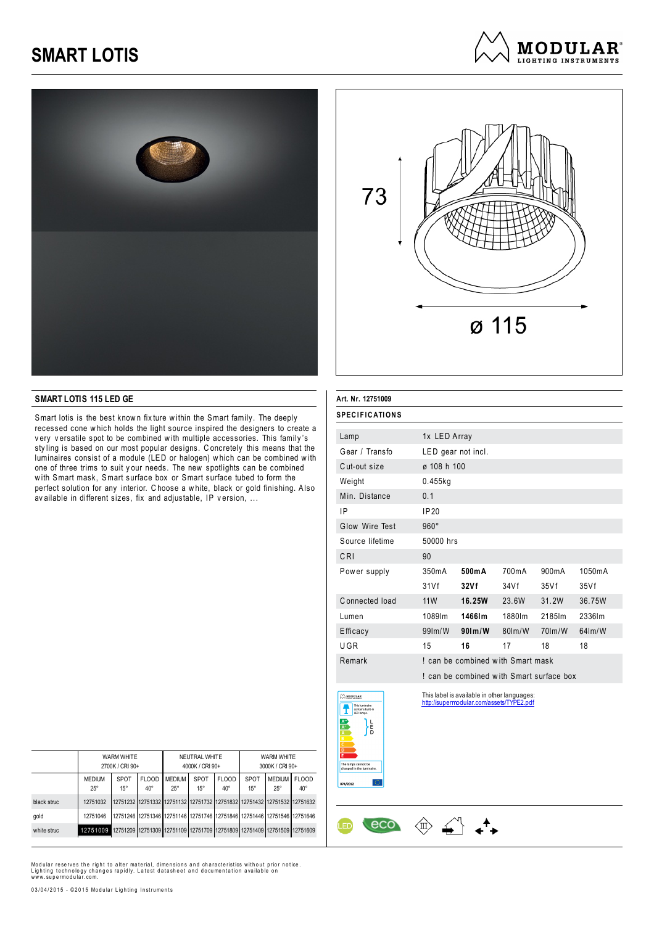





#### **SMART LOTIS 115 LED GE**

Smart lotis is the best known fix ture within the Smart family. The deeply recessed cone w hich holds the light source inspired the designers to create a very versatile spot to be combined with multiple accessories. This family's sty ling is based on our most popular designs. C oncretely this means that the luminaires consist of a module (LED or halogen) w hich can be combined w ith one of three trims to suit y our needs. The new spotlights can be combined with Smart mask, Smart surface box or Smart surface tubed to form the perfect solution for any interior. C hoose a w hite, black or gold finishing. Also av ailable in different sizes, fix and adjustable, IP v ersion, ...

| Art. Nr. 12751009                                                                                                               |                    |                                                                                         |           |           |           |
|---------------------------------------------------------------------------------------------------------------------------------|--------------------|-----------------------------------------------------------------------------------------|-----------|-----------|-----------|
| <b>SPECIFICATIONS</b>                                                                                                           |                    |                                                                                         |           |           |           |
| Lamp                                                                                                                            | 1x LED Array       |                                                                                         |           |           |           |
| Gear / Transfo                                                                                                                  | LED gear not incl. |                                                                                         |           |           |           |
| Cut-out size                                                                                                                    | ø 108 h 100        |                                                                                         |           |           |           |
| Weight                                                                                                                          | 0.455kg            |                                                                                         |           |           |           |
| Min. Distance                                                                                                                   | 0.1                |                                                                                         |           |           |           |
| IP                                                                                                                              | IP20               |                                                                                         |           |           |           |
| Glow Wire Test                                                                                                                  | $960^\circ$        |                                                                                         |           |           |           |
| Source lifetime                                                                                                                 | 50000 hrs          |                                                                                         |           |           |           |
| CRI                                                                                                                             | 90                 |                                                                                         |           |           |           |
| Power supply                                                                                                                    | 350mA              | 500mA                                                                                   | 700mA     | 900mA     | 1050mA    |
|                                                                                                                                 | 31Vf               | 32Vf                                                                                    | 34Vf      | 35Vf      | 35Vf      |
| Connected load                                                                                                                  | <b>11W</b>         | 16.25W                                                                                  | 23.6W     | 31.2W     | 36.75W    |
| Lumen                                                                                                                           | 1089lm             | 1466lm                                                                                  | 1880lm    | 2185lm    | 2336lm    |
| Efficacy                                                                                                                        | $99$ lm/W          | $90$ lm/W                                                                               | $80$ lm/W | $70$ lm/W | $64$ lm/W |
| UGR                                                                                                                             | 15                 | 16                                                                                      | 17        | 18        | 18        |
| Remark                                                                                                                          |                    | I can be combined with Smart mask                                                       |           |           |           |
|                                                                                                                                 |                    | I can be combined with Smart surface box                                                |           |           |           |
| $\oslash$ MODULAR<br>This luminaire<br>contains built-in<br>LED lamps.<br>Ĕ<br>The lamps cannot be<br>changed in the luminaire. |                    | This label is available in other languages:<br>http://supermodular.com/assets/TYPE2.pdf |           |           |           |
| f2012                                                                                                                           |                    |                                                                                         |           |           |           |

 $\bigoplus_{i=1}^{n}$   $\uparrow$ 

 $\langle \hat{\mathbb{I}} \rangle$ 

eco

|             | WARM WHITE<br>2700K / CRI 90+ |                      | NEUTRAL WHITE<br>4000K / CRI 90+ |                                                                         |                      | <b>WARM WHITE</b><br>3000K / CRI 90+ |                             |                             |                              |
|-------------|-------------------------------|----------------------|----------------------------------|-------------------------------------------------------------------------|----------------------|--------------------------------------|-----------------------------|-----------------------------|------------------------------|
|             | <b>MEDIUM</b><br>$25^{\circ}$ | SPOT<br>$15^{\circ}$ | <b>FLOOD</b><br>$40^{\circ}$     | <b>MEDIUM</b><br>$25^{\circ}$                                           | SPOT<br>$15^{\circ}$ | <b>FLOOD</b><br>$40^{\circ}$         | <b>SPOT</b><br>$15^{\circ}$ | <b>MEDIUM</b><br>$25^\circ$ | <b>FLOOD</b><br>$40^{\circ}$ |
| black struc | 12751032                      |                      |                                  | 12751232 12751332 12751132 12751732 12751832 12751432 12751532 12751632 |                      |                                      |                             |                             |                              |
| gold        | 12751046                      |                      |                                  | 12751246 12751346 12751146 12751746 12751846 12751446 12751546 12751646 |                      |                                      |                             |                             |                              |
| white struc | 12751009                      |                      |                                  | 12751209 12751309 12751109 12751709 12751809 12751409 12751509 12751609 |                      |                                      |                             |                             |                              |

Modular reserves the right to alter material, dimensions and characteristics without prior notice. Lighting technology changes rapidly. Latest datasheet and documentation available on<br>www.supermodular.com.